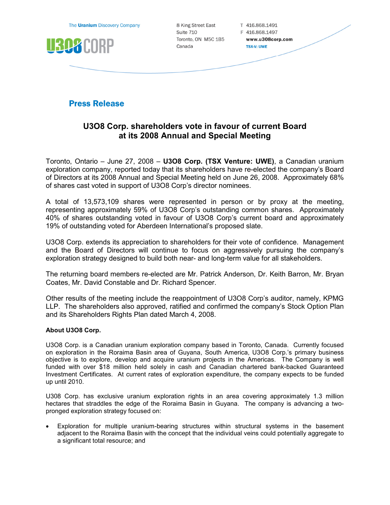The **Uranium** Discovery Company



8 King Street East Suite 710 Toronto, ON M5C 1B5 Canada

T 416.868.1491 F 416.868.1497 www.u308corp.com **TSX-V: UWE** 

**Press Release** 

## U3O8 Corp. shareholders vote in favour of current Board at its 2008 Annual and Special Meeting

Toronto, Ontario – June 27, 2008 – U3O8 Corp. (TSX Venture: UWE), a Canadian uranium exploration company, reported today that its shareholders have re-elected the company's Board of Directors at its 2008 Annual and Special Meeting held on June 26, 2008. Approximately 68% of shares cast voted in support of U3O8 Corp's director nominees.

A total of 13,573,109 shares were represented in person or by proxy at the meeting, representing approximately 59% of U3O8 Corp's outstanding common shares. Approximately 40% of shares outstanding voted in favour of U3O8 Corp's current board and approximately 19% of outstanding voted for Aberdeen International's proposed slate.

U3O8 Corp. extends its appreciation to shareholders for their vote of confidence. Management and the Board of Directors will continue to focus on aggressively pursuing the company's exploration strategy designed to build both near- and long-term value for all stakeholders.

The returning board members re-elected are Mr. Patrick Anderson, Dr. Keith Barron, Mr. Bryan Coates, Mr. David Constable and Dr. Richard Spencer.

Other results of the meeting include the reappointment of U3O8 Corp's auditor, namely, KPMG LLP. The shareholders also approved, ratified and confirmed the company's Stock Option Plan and its Shareholders Rights Plan dated March 4, 2008.

## About U3O8 Corp.

U3O8 Corp. is a Canadian uranium exploration company based in Toronto, Canada. Currently focused on exploration in the Roraima Basin area of Guyana, South America, U3O8 Corp.'s primary business objective is to explore, develop and acquire uranium projects in the Americas. The Company is well funded with over \$18 million held solely in cash and Canadian chartered bank-backed Guaranteed Investment Certificates. At current rates of exploration expenditure, the company expects to be funded up until 2010.

U308 Corp. has exclusive uranium exploration rights in an area covering approximately 1.3 million hectares that straddles the edge of the Roraima Basin in Guyana. The company is advancing a twopronged exploration strategy focused on:

• Exploration for multiple uranium-bearing structures within structural systems in the basement adjacent to the Roraima Basin with the concept that the individual veins could potentially aggregate to a significant total resource; and